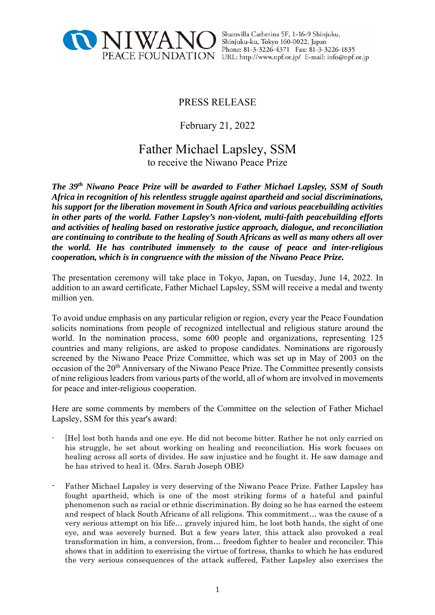

Shamvilla Catherina 5F, 1-16-9 Shinjuku, Shinjuku-ku, Tokyo 160-0022, Japan Phone: 81-3-3226-4371 Fax: 81-3-3226-1835 PEACE FOUNDATION URL: http://www.npf.or.jp/ E-mail: info@npf.or.jp

# PRESS RELEASE

February 21, 2022

# Father Michael Lapsley, SSM to receive the Niwano Peace Prize

*The 39th Niwano Peace Prize will be awarded to Father Michael Lapsley, SSM of South Africa in recognition of his relentless struggle against apartheid and social discriminations, his support for the liberation movement in South Africa and various peacebuilding activities in other parts of the world. Father Lapsley's non-violent, multi-faith peacebuilding efforts and activities of healing based on restorative justice approach, dialogue, and reconciliation are continuing to contribute to the healing of South Africans as well as many others all over the world. He has contributed immensely to the cause of peace and inter-religious cooperation, which is in congruence with the mission of the Niwano Peace Prize.* 

The presentation ceremony will take place in Tokyo, Japan, on Tuesday, June 14, 2022. In addition to an award certificate, Father Michael Lapsley, SSM will receive a medal and twenty million yen.

To avoid undue emphasis on any particular religion or region, every year the Peace Foundation solicits nominations from people of recognized intellectual and religious stature around the world. In the nomination process, some 600 people and organizations, representing 125 countries and many religions, are asked to propose candidates. Nominations are rigorously screened by the Niwano Peace Prize Committee, which was set up in May of 2003 on the occasion of the 20<sup>th</sup> Anniversary of the Niwano Peace Prize. The Committee presently consists of nine religious leaders from various parts of the world, all of whom are involved in movements for peace and inter-religious cooperation.

Here are some comments by members of the Committee on the selection of Father Michael Lapsley, SSM for this year's award:

- [He] lost both hands and one eye. He did not become bitter. Rather he not only carried on his struggle, he set about working on healing and reconciliation. His work focuses on healing across all sorts of divides. He saw injustice and he fought it. He saw damage and he has strived to heal it. (Mrs. Sarah Joseph OBE)
- Father Michael Lapsley is very deserving of the Niwano Peace Prize. Father Lapsley has fought apartheid, which is one of the most striking forms of a hateful and painful phenomenon such as racial or ethnic discrimination. By doing so he has earned the esteem and respect of black South Africans of all religions. This commitment… was the cause of a very serious attempt on his life… gravely injured him, he lost both hands, the sight of one eye, and was severely burned. But a few years later, this attack also provoked a real transformation in him, a conversion, from… freedom fighter to healer and reconciler. This shows that in addition to exercising the virtue of fortress, thanks to which he has endured the very serious consequences of the attack suffered, Father Lapsley also exercises the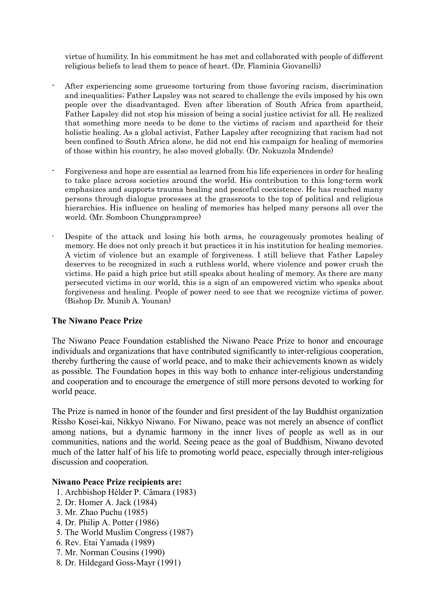virtue of humility. In his commitment he has met and collaborated with people of different religious beliefs to lead them to peace of heart. (Dr. Flaminia Giovanelli)

- After experiencing some gruesome torturing from those favoring racism, discrimination and inequalities; Father Lapsley was not scared to challenge the evils imposed by his own people over the disadvantaged. Even after liberation of South Africa from apartheid, Father Lapsley did not stop his mission of being a social justice activist for all. He realized that something more needs to be done to the victims of racism and apartheid for their holistic healing. As a global activist, Father Lapsley after recognizing that racism had not been confined to South Africa alone, he did not end his campaign for healing of memories of those within his country, he also moved globally. (Dr. Nokuzola Mndende)
- Forgiveness and hope are essential as learned from his life experiences in order for healing to take place across societies around the world. His contribution to this long-term work emphasizes and supports trauma healing and peaceful coexistence. He has reached many persons through dialogue processes at the grassroots to the top of political and religious hierarchies. His influence on healing of memories has helped many persons all over the world. (Mr. Somboon Chungprampree)
- Despite of the attack and losing his both arms, he courageously promotes healing of memory. He does not only preach it but practices it in his institution for healing memories. A victim of violence but an example of forgiveness. I still believe that Father Lapsley deserves to be recognized in such a ruthless world, where violence and power crush the victims. He paid a high price but still speaks about healing of memory. As there are many persecuted victims in our world, this is a sign of an empowered victim who speaks about forgiveness and healing. People of power need to see that we recognize victims of power. (Bishop Dr. Munib A. Younan)

## **The Niwano Peace Prize**

The Niwano Peace Foundation established the Niwano Peace Prize to honor and encourage individuals and organizations that have contributed significantly to inter-religious cooperation, thereby furthering the cause of world peace, and to make their achievements known as widely as possible. The Foundation hopes in this way both to enhance inter-religious understanding and cooperation and to encourage the emergence of still more persons devoted to working for world peace.

The Prize is named in honor of the founder and first president of the lay Buddhist organization Rissho Kosei-kai, Nikkyo Niwano. For Niwano, peace was not merely an absence of conflict among nations, but a dynamic harmony in the inner lives of people as well as in our communities, nations and the world. Seeing peace as the goal of Buddhism, Niwano devoted much of the latter half of his life to promoting world peace, especially through inter-religious discussion and cooperation.

### **Niwano Peace Prize recipients are:**

- 1. Archbishop Hélder P. Câmara (1983)
- 2. Dr. Homer A. Jack (1984)
- 3. Mr. Zhao Puchu (1985)
- 4. Dr. Philip A. Potter (1986)
- 5. The World Muslim Congress (1987)
- 6. Rev. Etai Yamada (1989)
- 7. Mr. Norman Cousins (1990)
- 8. Dr. Hildegard Goss-Mayr (1991)